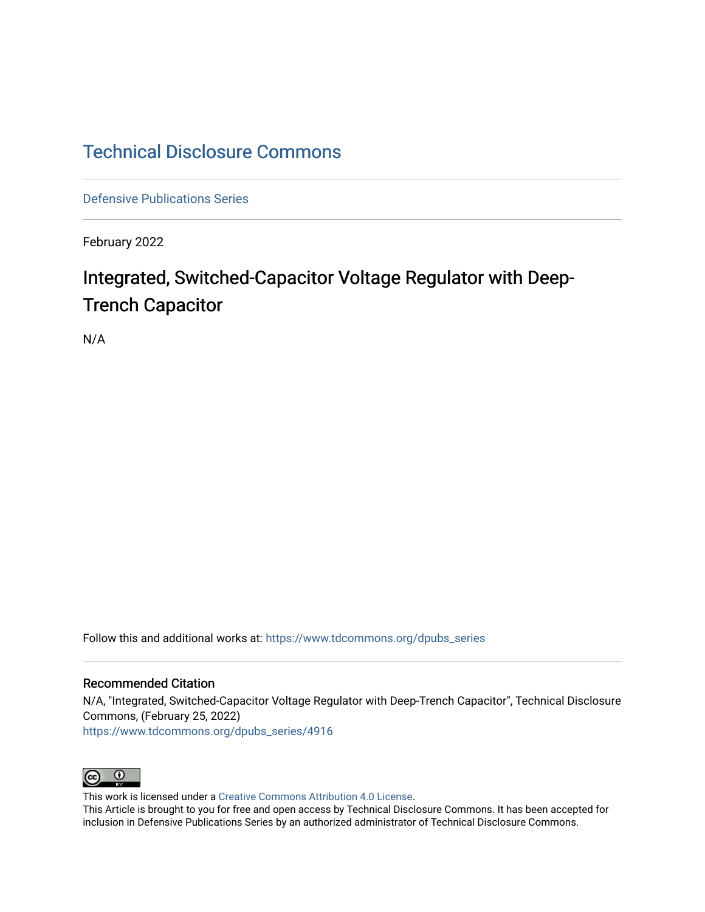# [Technical Disclosure Commons](https://www.tdcommons.org/)

[Defensive Publications Series](https://www.tdcommons.org/dpubs_series)

February 2022

# Integrated, Switched-Capacitor Voltage Regulator with Deep-Trench Capacitor

N/A

Follow this and additional works at: [https://www.tdcommons.org/dpubs\\_series](https://www.tdcommons.org/dpubs_series?utm_source=www.tdcommons.org%2Fdpubs_series%2F4916&utm_medium=PDF&utm_campaign=PDFCoverPages) 

## Recommended Citation

N/A, "Integrated, Switched-Capacitor Voltage Regulator with Deep-Trench Capacitor", Technical Disclosure Commons, (February 25, 2022) [https://www.tdcommons.org/dpubs\\_series/4916](https://www.tdcommons.org/dpubs_series/4916?utm_source=www.tdcommons.org%2Fdpubs_series%2F4916&utm_medium=PDF&utm_campaign=PDFCoverPages)



This work is licensed under a [Creative Commons Attribution 4.0 License](http://creativecommons.org/licenses/by/4.0/deed.en_US).

This Article is brought to you for free and open access by Technical Disclosure Commons. It has been accepted for inclusion in Defensive Publications Series by an authorized administrator of Technical Disclosure Commons.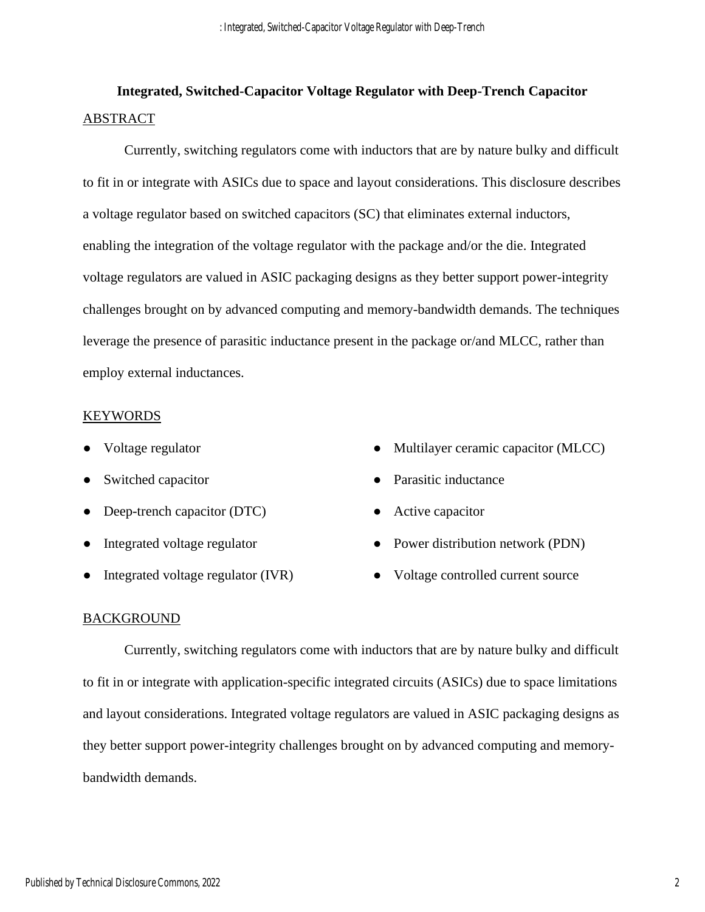# **Integrated, Switched-Capacitor Voltage Regulator with Deep-Trench Capacitor** ABSTRACT

Currently, switching regulators come with inductors that are by nature bulky and difficult to fit in or integrate with ASICs due to space and layout considerations. This disclosure describes a voltage regulator based on switched capacitors (SC) that eliminates external inductors, enabling the integration of the voltage regulator with the package and/or the die. Integrated voltage regulators are valued in ASIC packaging designs as they better support power-integrity challenges brought on by advanced computing and memory-bandwidth demands. The techniques leverage the presence of parasitic inductance present in the package or/and MLCC, rather than employ external inductances.

## **KEYWORDS**

- Voltage regulator
- Switched capacitor
- Deep-trench capacitor (DTC)
- Integrated voltage regulator
- Integrated voltage regulator (IVR)
- Multilayer ceramic capacitor (MLCC)
- Parasitic inductance
- Active capacitor
- Power distribution network (PDN)
- Voltage controlled current source

## BACKGROUND

Currently, switching regulators come with inductors that are by nature bulky and difficult to fit in or integrate with application-specific integrated circuits (ASICs) due to space limitations and layout considerations. Integrated voltage regulators are valued in ASIC packaging designs as they better support power-integrity challenges brought on by advanced computing and memorybandwidth demands.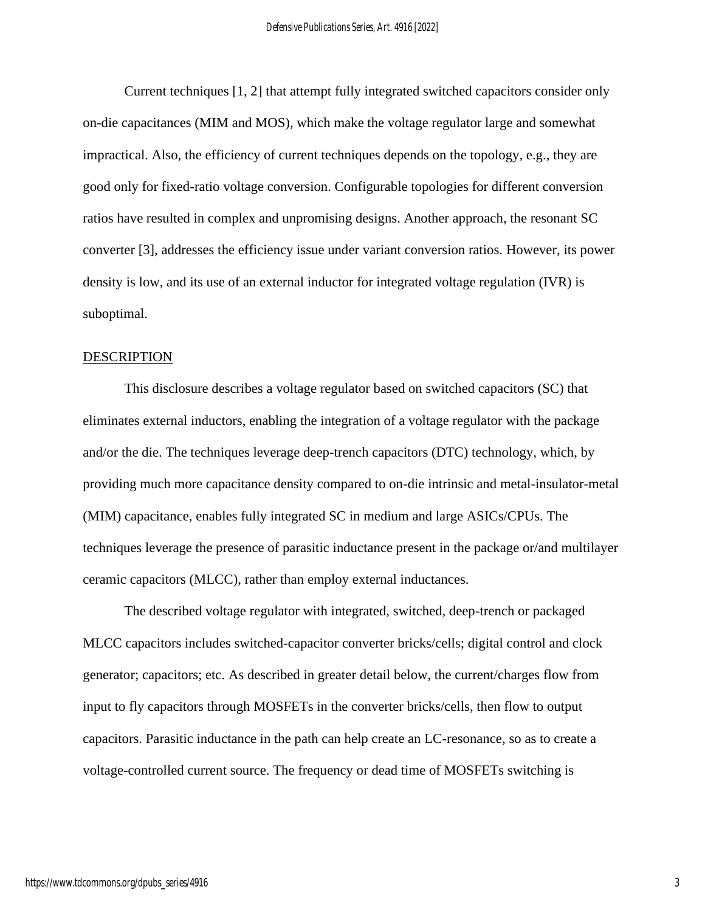Current techniques [1, 2] that attempt fully integrated switched capacitors consider only on-die capacitances (MIM and MOS), which make the voltage regulator large and somewhat impractical. Also, the efficiency of current techniques depends on the topology, e.g., they are good only for fixed-ratio voltage conversion. Configurable topologies for different conversion ratios have resulted in complex and unpromising designs. Another approach, the resonant SC converter [3], addresses the efficiency issue under variant conversion ratios. However, its power density is low, and its use of an external inductor for integrated voltage regulation (IVR) is suboptimal.

#### DESCRIPTION

This disclosure describes a voltage regulator based on switched capacitors (SC) that eliminates external inductors, enabling the integration of a voltage regulator with the package and/or the die. The techniques leverage deep-trench capacitors (DTC) technology, which, by providing much more capacitance density compared to on-die intrinsic and metal-insulator-metal (MIM) capacitance, enables fully integrated SC in medium and large ASICs/CPUs. The techniques leverage the presence of parasitic inductance present in the package or/and multilayer ceramic capacitors (MLCC), rather than employ external inductances.

The described voltage regulator with integrated, switched, deep-trench or packaged MLCC capacitors includes switched-capacitor converter bricks/cells; digital control and clock generator; capacitors; etc. As described in greater detail below, the current/charges flow from input to fly capacitors through MOSFETs in the converter bricks/cells, then flow to output capacitors. Parasitic inductance in the path can help create an LC-resonance, so as to create a voltage-controlled current source. The frequency or dead time of MOSFETs switching is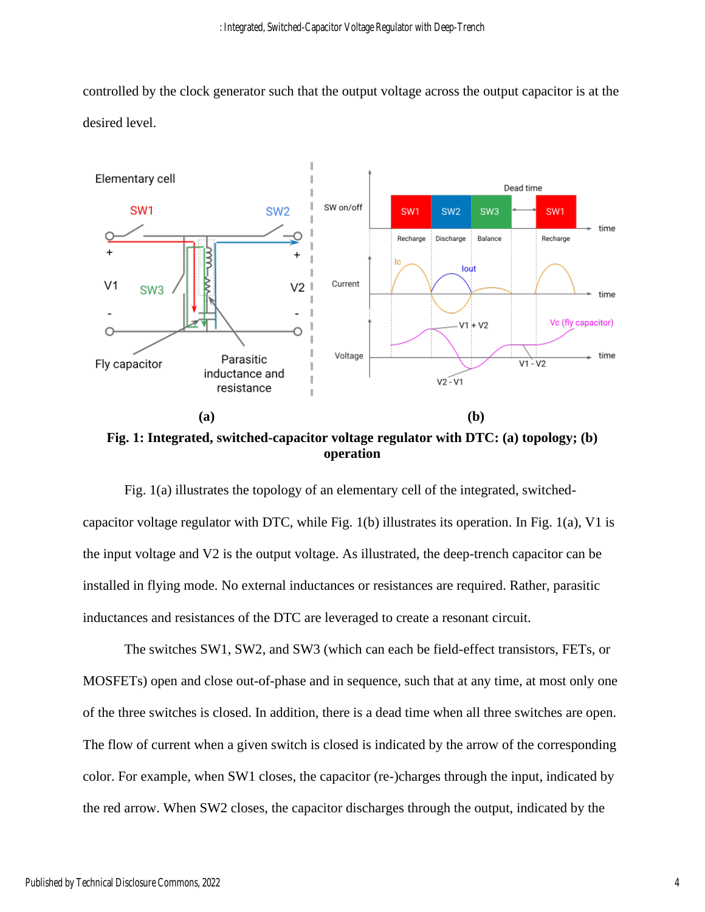controlled by the clock generator such that the output voltage across the output capacitor is at the desired level.



**Fig. 1: Integrated, switched-capacitor voltage regulator with DTC: (a) topology; (b) operation**

Fig. 1(a) illustrates the topology of an elementary cell of the integrated, switchedcapacitor voltage regulator with DTC, while Fig. 1(b) illustrates its operation. In Fig. 1(a), V1 is the input voltage and V2 is the output voltage. As illustrated, the deep-trench capacitor can be installed in flying mode. No external inductances or resistances are required. Rather, parasitic inductances and resistances of the DTC are leveraged to create a resonant circuit.

The switches SW1, SW2, and SW3 (which can each be field-effect transistors, FETs, or MOSFETs) open and close out-of-phase and in sequence, such that at any time, at most only one of the three switches is closed. In addition, there is a dead time when all three switches are open. The flow of current when a given switch is closed is indicated by the arrow of the corresponding color. For example, when SW1 closes, the capacitor (re-)charges through the input, indicated by the red arrow. When SW2 closes, the capacitor discharges through the output, indicated by the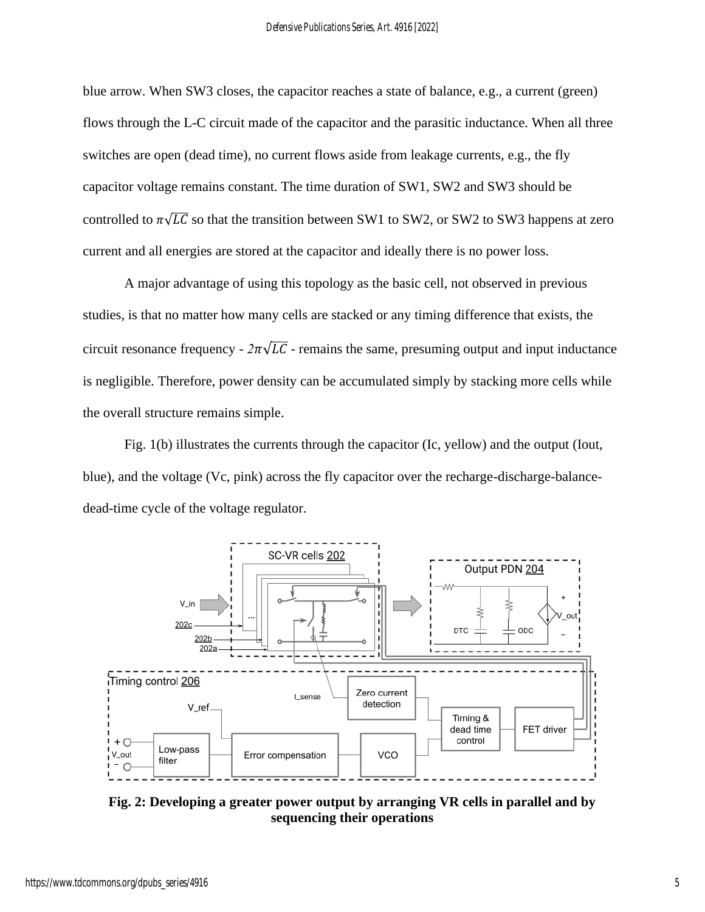blue arrow. When SW3 closes, the capacitor reaches a state of balance, e.g., a current (green) flows through the L-C circuit made of the capacitor and the parasitic inductance. When all three switches are open (dead time), no current flows aside from leakage currents, e.g., the fly capacitor voltage remains constant. The time duration of SW1, SW2 and SW3 should be controlled to  $\pi\sqrt{LC}$  so that the transition between SW1 to SW2, or SW2 to SW3 happens at zero current and all energies are stored at the capacitor and ideally there is no power loss.

A major advantage of using this topology as the basic cell, not observed in previous studies, is that no matter how many cells are stacked or any timing difference that exists, the circuit resonance frequency -  $2\pi\sqrt{LC}$  - remains the same, presuming output and input inductance is negligible. Therefore, power density can be accumulated simply by stacking more cells while the overall structure remains simple.

Fig. 1(b) illustrates the currents through the capacitor (Ic, yellow) and the output (Iout, blue), and the voltage (Vc, pink) across the fly capacitor over the recharge-discharge-balancedead-time cycle of the voltage regulator.



**Fig. 2: Developing a greater power output by arranging VR cells in parallel and by sequencing their operations**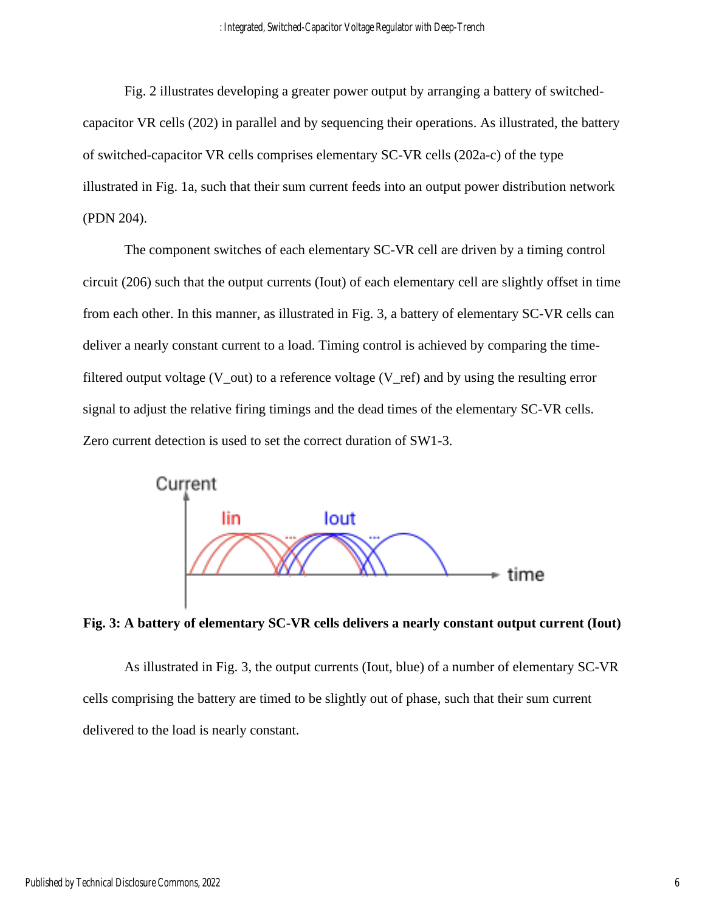Fig. 2 illustrates developing a greater power output by arranging a battery of switchedcapacitor VR cells (202) in parallel and by sequencing their operations. As illustrated, the battery of switched-capacitor VR cells comprises elementary SC-VR cells (202a-c) of the type illustrated in Fig. 1a, such that their sum current feeds into an output power distribution network (PDN 204).

The component switches of each elementary SC-VR cell are driven by a timing control circuit (206) such that the output currents (Iout) of each elementary cell are slightly offset in time from each other. In this manner, as illustrated in Fig. 3, a battery of elementary SC-VR cells can deliver a nearly constant current to a load. Timing control is achieved by comparing the timefiltered output voltage ( $V_$ out) to a reference voltage ( $V_$ ref) and by using the resulting error signal to adjust the relative firing timings and the dead times of the elementary SC-VR cells. Zero current detection is used to set the correct duration of SW1-3.



**Fig. 3: A battery of elementary SC-VR cells delivers a nearly constant output current (Iout)**

As illustrated in Fig. 3, the output currents (Iout, blue) of a number of elementary SC-VR cells comprising the battery are timed to be slightly out of phase, such that their sum current delivered to the load is nearly constant.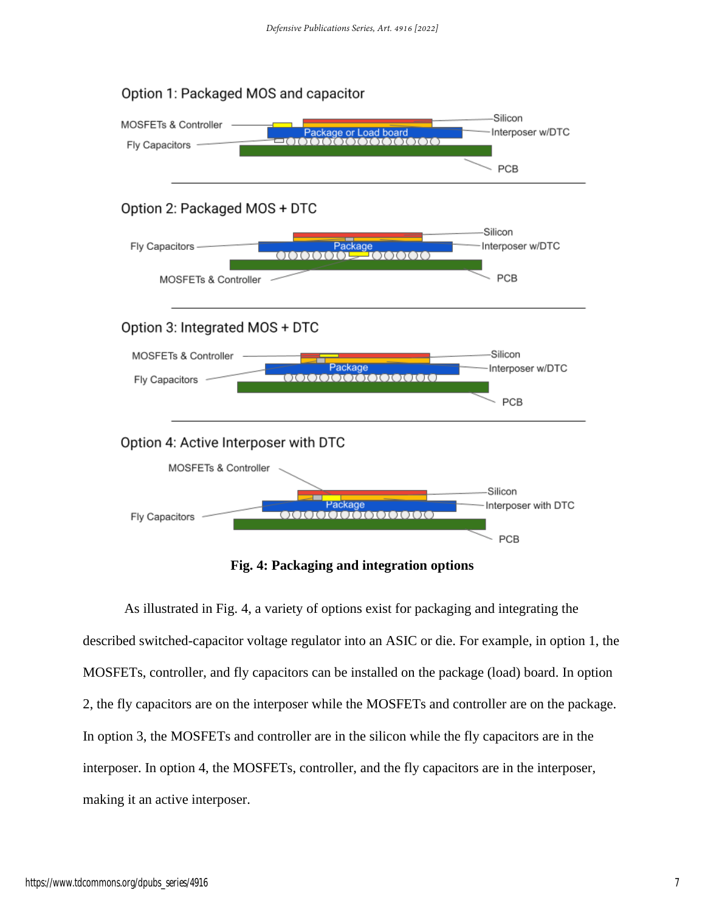

**Fig. 4: Packaging and integration options**

As illustrated in Fig. 4, a variety of options exist for packaging and integrating the described switched-capacitor voltage regulator into an ASIC or die. For example, in option 1, the MOSFETs, controller, and fly capacitors can be installed on the package (load) board. In option 2, the fly capacitors are on the interposer while the MOSFETs and controller are on the package. In option 3, the MOSFETs and controller are in the silicon while the fly capacitors are in the interposer. In option 4, the MOSFETs, controller, and the fly capacitors are in the interposer, making it an active interposer.